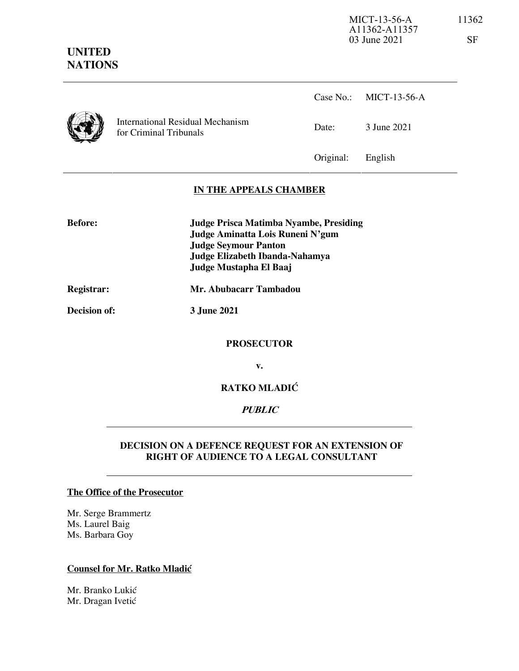# **UNITED NATIONS**



International Residual Mechanism<br>
Date: 3 June 2021 for Criminal Tribunals

Case No.: MICT-13-56-A

Original: English

# **IN THE APPEALS CHAMBER**

**Before: Judge Prisca Matimba Nyambe, Presiding Judge Aminatta Lois Runeni N'gum Judge Seymour Panton Judge Elizabeth Ibanda-Nahamya Judge Mustapha El Baaj** 

# **Registrar: Mr. Abubacarr Tambadou**

**Decision of: 3 June 2021** 

### **PROSECUTOR**

**v.** 

# **RATKO MLADIĆ**

# **PUBLIC**

## **DECISION ON A DEFENCE REQUEST FOR AN EXTENSION OF RIGHT OF AUDIENCE TO A LEGAL CONSULTANT**

#### **The Office of the Prosecutor**

Mr. Serge Brammertz Ms. Laurel Baig Ms. Barbara Goy

### **Counsel for Mr. Ratko Mladić**

Mr. Branko Lukić Mr. Dragan Ivetić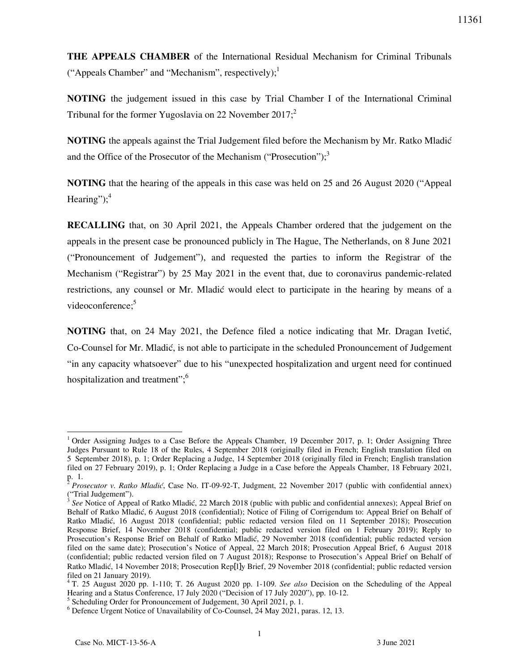**THE APPEALS CHAMBER** of the International Residual Mechanism for Criminal Tribunals ("Appeals Chamber" and "Mechanism", respectively); $\frac{1}{2}$ 

**NOTING** the judgement issued in this case by Trial Chamber I of the International Criminal Tribunal for the former Yugoslavia on 22 November 2017; $2$ 

**NOTING** the appeals against the Trial Judgement filed before the Mechanism by Mr. Ratko Mladić and the Office of the Prosecutor of the Mechanism ("Prosecution"); $3$ 

**NOTING** that the hearing of the appeals in this case was held on 25 and 26 August 2020 ("Appeal Hearing"); $4$ 

**RECALLING** that, on 30 April 2021, the Appeals Chamber ordered that the judgement on the appeals in the present case be pronounced publicly in The Hague, The Netherlands, on 8 June 2021 ("Pronouncement of Judgement"), and requested the parties to inform the Registrar of the Mechanism ("Registrar") by 25 May 2021 in the event that, due to coronavirus pandemic-related restrictions, any counsel or Mr. Mladić would elect to participate in the hearing by means of a videoconference:<sup>5</sup>

**NOTING** that, on 24 May 2021, the Defence filed a notice indicating that Mr. Dragan Ivetić, Co-Counsel for Mr. Mladić, is not able to participate in the scheduled Pronouncement of Judgement "in any capacity whatsoever" due to his "unexpected hospitalization and urgent need for continued hospitalization and treatment";<sup>6</sup>

 $\overline{a}$ <sup>1</sup> Order Assigning Judges to a Case Before the Appeals Chamber, 19 December 2017, p. 1; Order Assigning Three Judges Pursuant to Rule 18 of the Rules, 4 September 2018 (originally filed in French; English translation filed on 5 September 2018), p. 1; Order Replacing a Judge, 14 September 2018 (originally filed in French; English translation filed on 27 February 2019), p. 1; Order Replacing a Judge in a Case before the Appeals Chamber, 18 February 2021,

p. 1.<br><sup>2</sup> Prosecutor v. Ratko Mladić, Case No. IT-09-92-T, Judgment, 22 November 2017 (public with confidential annex) ("Trial Judgement").<br> $3 \text{ Sea Notice of } \Lambda$ 

*See* Notice of Appeal of Ratko Mladić, 22 March 2018 (public with public and confidential annexes); Appeal Brief on Behalf of Ratko Mladić, 6 August 2018 (confidential); Notice of Filing of Corrigendum to: Appeal Brief on Behalf of Ratko Mladić, 16 August 2018 (confidential; public redacted version filed on 11 September 2018); Prosecution Response Brief, 14 November 2018 (confidential; public redacted version filed on 1 February 2019); Reply to Prosecution's Response Brief on Behalf of Ratko Mladić, 29 November 2018 (confidential; public redacted version filed on the same date); Prosecution's Notice of Appeal, 22 March 2018; Prosecution Appeal Brief, 6 August 2018 (confidential; public redacted version filed on 7 August 2018); Response to Prosecution's Appeal Brief on Behalf of Ratko Mladić, 14 November 2018; Prosecution Rep[l]y Brief, 29 November 2018 (confidential; public redacted version filed on 21 January 2019).

<sup>4</sup> T. 25 August 2020 pp. 1-110; T. 26 August 2020 pp. 1-109. *See also* Decision on the Scheduling of the Appeal Hearing and a Status Conference, 17 July 2020 ("Decision of 17 July 2020"), pp. 10-12.

<sup>&</sup>lt;sup>5</sup> Scheduling Order for Pronouncement of Judgement, 30 April 2021, p. 1.

<sup>&</sup>lt;sup>6</sup> Defence Urgent Notice of Unavailability of Co-Counsel,  $24$  May 2021, paras. 12, 13.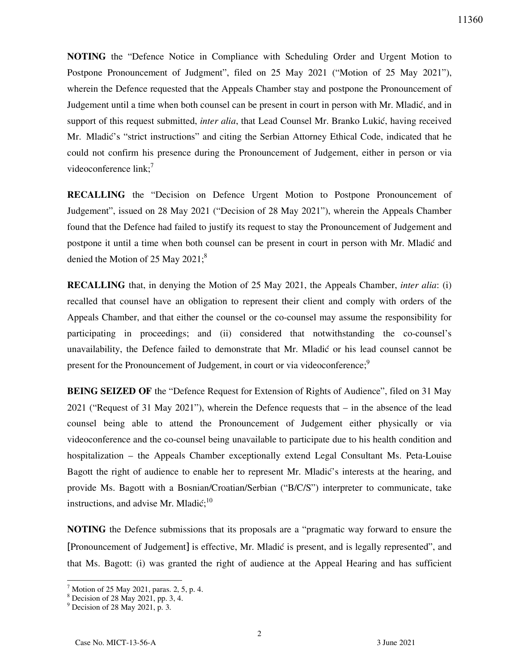**NOTING** the "Defence Notice in Compliance with Scheduling Order and Urgent Motion to Postpone Pronouncement of Judgment", filed on 25 May 2021 ("Motion of 25 May 2021"), wherein the Defence requested that the Appeals Chamber stay and postpone the Pronouncement of Judgement until a time when both counsel can be present in court in person with Mr. Mladić, and in support of this request submitted, *inter alia*, that Lead Counsel Mr. Branko Lukić, having received Mr. Mladić's "strict instructions" and citing the Serbian Attorney Ethical Code, indicated that he could not confirm his presence during the Pronouncement of Judgement, either in person or via videoconference  $link$ ;<sup>7</sup>

**RECALLING** the "Decision on Defence Urgent Motion to Postpone Pronouncement of Judgement", issued on 28 May 2021 ("Decision of 28 May 2021"), wherein the Appeals Chamber found that the Defence had failed to justify its request to stay the Pronouncement of Judgement and postpone it until a time when both counsel can be present in court in person with Mr. Mladić and denied the Motion of 25 May 2021; $^8$ 

**RECALLING** that, in denying the Motion of 25 May 2021, the Appeals Chamber, *inter alia*: (i) recalled that counsel have an obligation to represent their client and comply with orders of the Appeals Chamber, and that either the counsel or the co-counsel may assume the responsibility for participating in proceedings; and (ii) considered that notwithstanding the co-counsel's unavailability, the Defence failed to demonstrate that Mr. Mladić or his lead counsel cannot be present for the Pronouncement of Judgement, in court or via videoconference;<sup>9</sup>

**BEING SEIZED OF** the "Defence Request for Extension of Rights of Audience", filed on 31 May 2021 ("Request of 31 May 2021"), wherein the Defence requests that – in the absence of the lead counsel being able to attend the Pronouncement of Judgement either physically or via videoconference and the co-counsel being unavailable to participate due to his health condition and hospitalization – the Appeals Chamber exceptionally extend Legal Consultant Ms. Peta-Louise Bagott the right of audience to enable her to represent Mr. Mladić's interests at the hearing, and provide Ms. Bagott with a Bosnian/Croatian/Serbian ("B/C/S") interpreter to communicate, take instructions, and advise Mr. Mladić; $^{10}$ 

**NOTING** the Defence submissions that its proposals are a "pragmatic way forward to ensure the [Pronouncement of Judgement] is effective, Mr. Mladić is present, and is legally represented", and that Ms. Bagott: (i) was granted the right of audience at the Appeal Hearing and has sufficient

 $\overline{a}$ 

<sup>7</sup> Motion of 25 May 2021, paras. 2, 5, p. 4.

<sup>8</sup> Decision of 28 May 2021, pp. 3, 4.

<sup>9</sup> Decision of 28 May 2021, p. 3.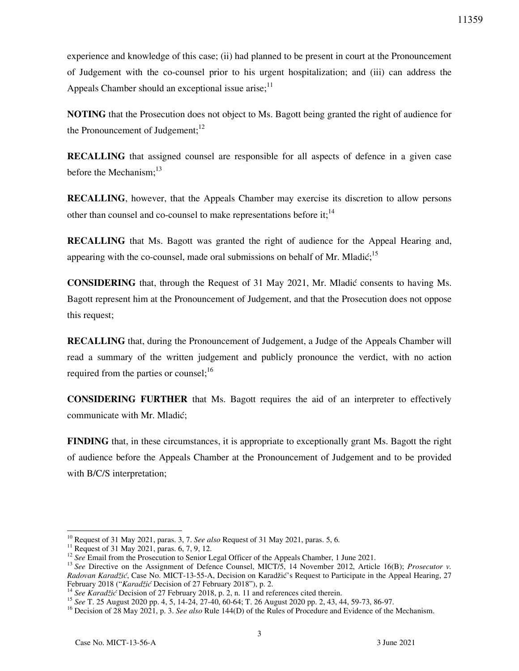experience and knowledge of this case; (ii) had planned to be present in court at the Pronouncement of Judgement with the co-counsel prior to his urgent hospitalization; and (iii) can address the Appeals Chamber should an exceptional issue arise; $11$ 

**NOTING** that the Prosecution does not object to Ms. Bagott being granted the right of audience for the Pronouncement of Judgement; $^{12}$ 

**RECALLING** that assigned counsel are responsible for all aspects of defence in a given case before the Mechanism:<sup>13</sup>

**RECALLING**, however, that the Appeals Chamber may exercise its discretion to allow persons other than counsel and co-counsel to make representations before it: $<sup>14</sup>$ </sup>

**RECALLING** that Ms. Bagott was granted the right of audience for the Appeal Hearing and, appearing with the co-counsel, made oral submissions on behalf of Mr. Mladić:<sup>15</sup>

**CONSIDERING** that, through the Request of 31 May 2021, Mr. Mladić consents to having Ms. Bagott represent him at the Pronouncement of Judgement, and that the Prosecution does not oppose this request;

**RECALLING** that, during the Pronouncement of Judgement, a Judge of the Appeals Chamber will read a summary of the written judgement and publicly pronounce the verdict, with no action required from the parties or counsel;<sup>16</sup>

**CONSIDERING FURTHER** that Ms. Bagott requires the aid of an interpreter to effectively communicate with Mr. Mladić;

**FINDING** that, in these circumstances, it is appropriate to exceptionally grant Ms. Bagott the right of audience before the Appeals Chamber at the Pronouncement of Judgement and to be provided with B/C/S interpretation;

 $\overline{a}$ 

<sup>10</sup> Request of 31 May 2021, paras. 3, 7. *See also* Request of 31 May 2021, paras. 5, 6.

<sup>&</sup>lt;sup>11</sup> Request of 31 May 2021, paras. 6, 7, 9, 12.

<sup>&</sup>lt;sup>12</sup> See Email from the Prosecution to Senior Legal Officer of the Appeals Chamber, 1 June 2021.

<sup>&</sup>lt;sup>13</sup> See Directive on the Assignment of Defence Counsel, MICT/5, 14 November 2012, Article 16(B); *Prosecutor v. Radovan Karadžić*, Case No. MICT-13-55-A, Decision on Karadžić's Request to Participate in the Appeal Hearing, 27 February 2018 ("*Karadžić* Decision of 27 February 2018"), p. 2.

<sup>&</sup>lt;sup>14</sup> See Karadžić Decision of 27 February 2018, p. 2, n. 11 and references cited therein.

<sup>15</sup> *See* T. 25 August 2020 pp. 4, 5, 14-24, 27-40, 60-64; T. 26 August 2020 pp. 2, 43, 44, 59-73, 86-97.

<sup>16</sup> Decision of 28 May 2021, p. 3. *See also* Rule 144(D) of the Rules of Procedure and Evidence of the Mechanism.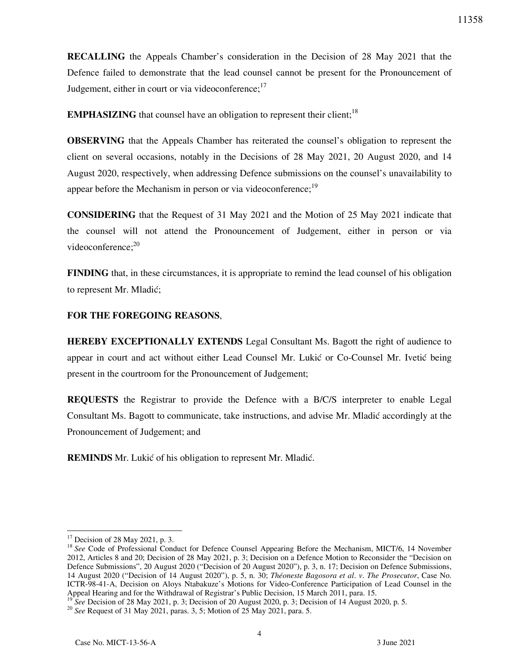**RECALLING** the Appeals Chamber's consideration in the Decision of 28 May 2021 that the Defence failed to demonstrate that the lead counsel cannot be present for the Pronouncement of Judgement, either in court or via videoconference;<sup>17</sup>

**EMPHASIZING** that counsel have an obligation to represent their client;<sup>18</sup>

**OBSERVING** that the Appeals Chamber has reiterated the counsel's obligation to represent the client on several occasions, notably in the Decisions of 28 May 2021, 20 August 2020, and 14 August 2020, respectively, when addressing Defence submissions on the counsel's unavailability to appear before the Mechanism in person or via videoconference;<sup>19</sup>

**CONSIDERING** that the Request of 31 May 2021 and the Motion of 25 May 2021 indicate that the counsel will not attend the Pronouncement of Judgement, either in person or via videoconference; $20$ 

**FINDING** that, in these circumstances, it is appropriate to remind the lead counsel of his obligation to represent Mr. Mladić;

### **FOR THE FOREGOING REASONS**,

**HEREBY EXCEPTIONALLY EXTENDS** Legal Consultant Ms. Bagott the right of audience to appear in court and act without either Lead Counsel Mr. Lukić or Co-Counsel Mr. Ivetić being present in the courtroom for the Pronouncement of Judgement;

**REQUESTS** the Registrar to provide the Defence with a B/C/S interpreter to enable Legal Consultant Ms. Bagott to communicate, take instructions, and advise Mr. Mladić accordingly at the Pronouncement of Judgement; and

**REMINDS** Mr. Lukić of his obligation to represent Mr. Mladić.

 $\overline{a}$ 

 $17$  Decision of 28 May 2021, p. 3.

<sup>&</sup>lt;sup>18</sup> See Code of Professional Conduct for Defence Counsel Appearing Before the Mechanism, MICT/6, 14 November 2012, Articles 8 and 20; Decision of 28 May 2021, p. 3; Decision on a Defence Motion to Reconsider the "Decision on Defence Submissions", 20 August 2020 ("Decision of 20 August 2020"), p. 3, n. 17; Decision on Defence Submissions, 14 August 2020 ("Decision of 14 August 2020"), p. 5, n. 30; *Théoneste Bagosora et al*. *v*. *The Prosecutor*, Case No. ICTR-98-41-A, Decision on Aloys Ntabakuze's Motions for Video-Conference Participation of Lead Counsel in the Appeal Hearing and for the Withdrawal of Registrar's Public Decision, 15 March 2011, para. 15.

<sup>19</sup> *See* Decision of 28 May 2021, p. 3; Decision of 20 August 2020, p. 3; Decision of 14 August 2020, p. 5.

<sup>20</sup> *See* Request of 31 May 2021, paras. 3, 5; Motion of 25 May 2021, para. 5.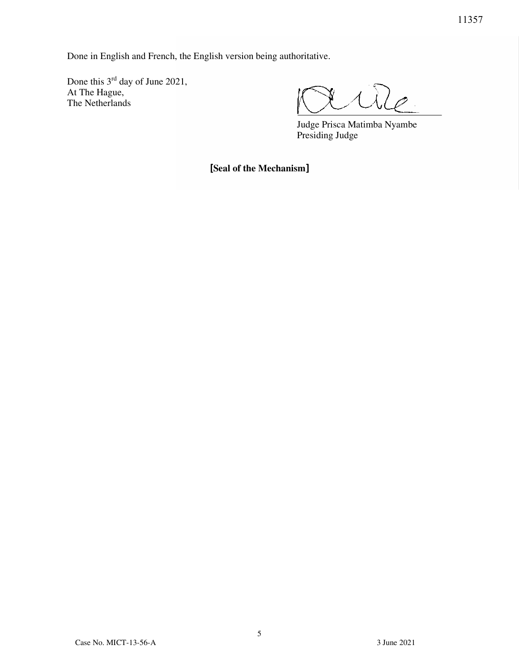Done in English and French, the English version being authoritative.

Done this  $3<sup>rd</sup>$  day of June 2021, At The Hague, The Netherlands

 Judge Prisca Matimba Nyambe Presiding Judge

[**Seal of the Mechanism**]